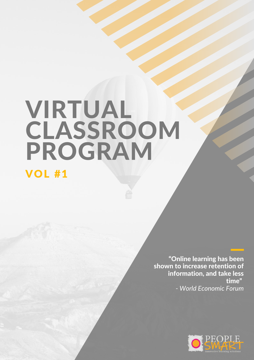# VIRTUAL **CLASSROOM** PROGRAM

# VOL #1

"Online learning has been shown to increase retention of information, and take less time" *- World Economic Forum*

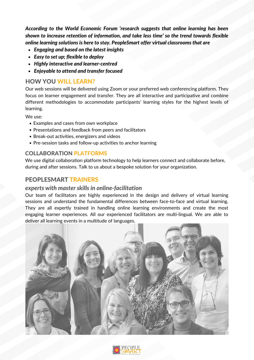*According to the World Economic Forum 'research suggests that online learning has been shown to increase retention of information, and take less time' so the trend towards flexible online learning solutions is here to stay. PeopleSmart offer virtual classrooms that are*

- *Engaging and based on the latest insights*
- *Easy to set up; flexible to deploy*
- *Highly interactive and learner-centred*
- *Enjoyable to attend and transfer focused*

# HOW YOU WILL LEARN?

Our web sessions will be delivered using Zoom or your preferred web conferencing platform. They focus on learner engagement and transfer. They are all interactive and participative and combine different methodologies to accommodate participants' learning styles for the highest levels of learning.

We use:

- Examples and cases from own workplace
- Presentations and feedback from peers and facilitators
- Break-out activities, energizers and videos
- Pre-session tasks and follow-up activities to anchor learning

### COLLABORATION PLATFORMS

We use digital collaboration platform technology to help learners connect and collaborate before, during and after sessions. Talk to us about a bespoke solution for your organization.

# PEOPLESMART TRAINERS

### *experts with master skills in online-facilitation*

Our team of facilitators are highly experienced in the design and delivery of virtual learning sessions and understand the fundamental differences between face-to-face and virtual learning. They are all expertly trained in handling online learning environments and create the most engaging learner experiences. All our experienced facilitators are multi-lingual. We are able to deliver all learning events in a multitude of languages.



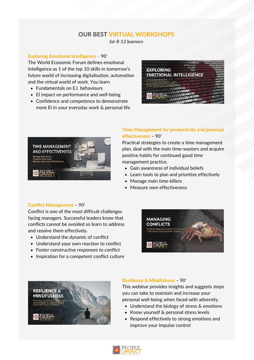# OUR BEST VIRTUAL WORKSHOPS

*for 8-12 learners*

#### Exploring Emotional Intelligence – 90'

The World Economic Forum defines emotional intelligence as 1 of the top 10 skills in tomorrow's future world of increasing digitalisation, automation and the virtual world of work. You learn

- Fundamentals on E.I. behaviours
- El impact on performance and well-being
- Confidence and competence to demonstrate more EI in your everyday work & personal life





#### Time Management for productivity and personal effectiveness – 90'

Practical strategies to create a time management plan, deal with the main time-wasters and acquire positive habits for continued good time management practice.

- Gain awareness of individual beliefs
- Learn tools to plan and prioritize effectively
- Manage main time-killers
- Measure own effectiveness

#### Conflict Management – 90'

Conflict is one of the most difficult challenges facing managers. Successful leaders know that conflicts cannot be avoided so learn to address and resolve them effectively.

- Understand the dynamic of conflict
- Understand your own reaction to conflict
- Foster constructive responses to conflict
- Inspiration for a competent conflict culture





#### Resilience & Mindfulness – 90'

This webinar provides insights and suggests steps you can take to maintain and increase your personal well-being when faced with adversity.

- Understand the biology of stress & emotions
- Know yourself & personal stress levels
- Respond effectively to strong emotions and improve your impulse control

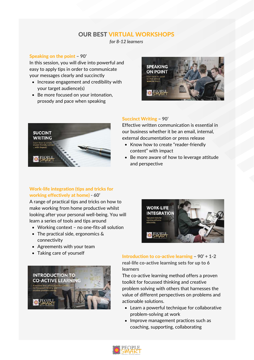# OUR BEST VIRTUAL WORKSHOPS

*for 8-12 learners*

#### Speaking on the point – 90'

In this session, you will dive into powerful and easy to apply tips in order to communicate your messages clearly and succinctly

- Increase engagement and credibility with your target audience(s)
- Be more focused on your intonation, prosody and pace when speaking

# **SPEAKING ON POINT**

# **SUCCINT WRITING**

#### Work-life integration (tips and tricks for working effectively at home) - 60'

A range of practical tips and tricks on how to make working from home productive whilst looking after your personal well-being. You will learn a series of tools and tips around

- Working context no one-fits-all solution
- The practical side, ergonomics & connectivity
- Agreements with your team
- Taking care of yourself



#### Succinct Writing – 90'

Effective written communication is essential in our business whether it be an email, internal, external documentation or press release

- Know how to create "reader-friendly content" with impact
- Be more aware of how to leverage attitude and perspective



Introduction to co-active learning – 90' + 1-2 real-life co-active learning sets for up to 6 learners

The co-active learning method offers a proven toolkit for focussed thinking and creative problem solving with others that harnesses the value of different perspectives on problems and actionable solutions.

- Learn a powerful technique for collaborative problem-solving at work
- Improve management practices such as coaching, supporting, collaborating